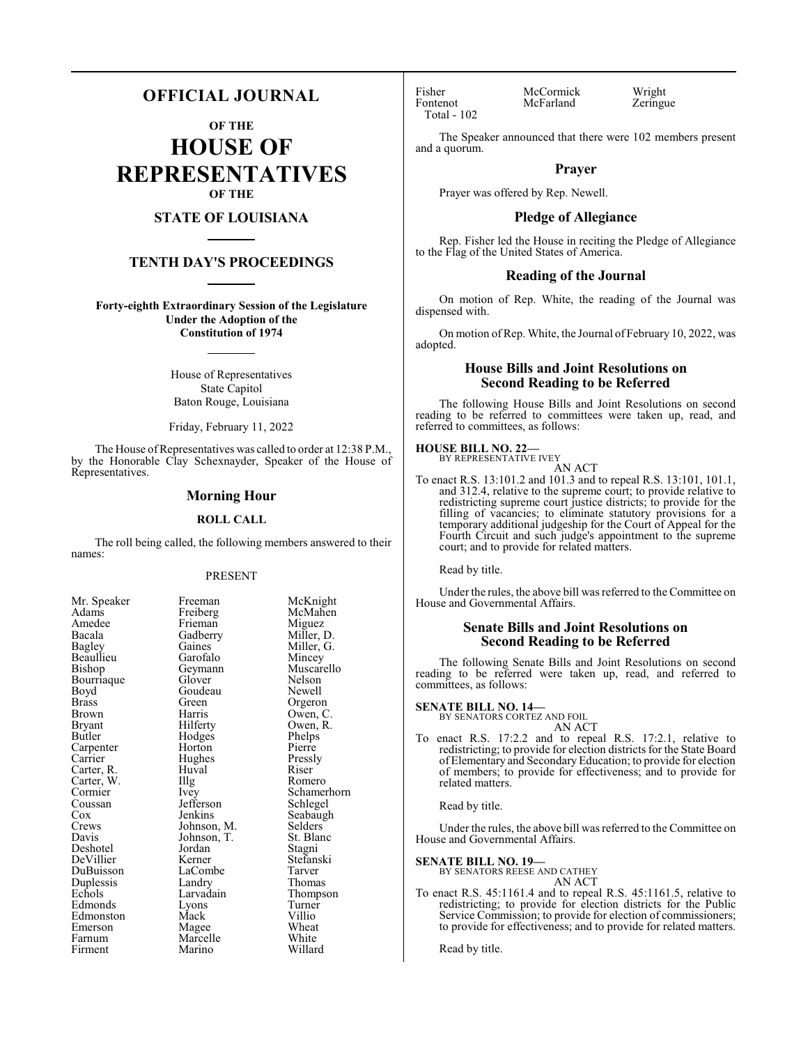## **OFFICIAL JOURNAL**

**OF THE**

**HOUSE OF REPRESENTATIVES OF THE**

## **STATE OF LOUISIANA**

## **TENTH DAY'S PROCEEDINGS**

**Forty-eighth Extraordinary Session of the Legislature Under the Adoption of the Constitution of 1974**

> House of Representatives State Capitol Baton Rouge, Louisiana

> Friday, February 11, 2022

The House of Representatives was called to order at 12:38 P.M., by the Honorable Clay Schexnayder, Speaker of the House of Representatives.

## **Morning Hour**

#### **ROLL CALL**

The roll being called, the following members answered to their names:

## PRESENT

| Mr. Speaker           |
|-----------------------|
| Adams                 |
| Amedee                |
| Bacala                |
| <b>Bagley</b>         |
| Beaullieu             |
| Bishop                |
| Bourriaque            |
| Boyd                  |
| <b>Brass</b>          |
| Brown                 |
| Bryant                |
| Butler                |
| Carpenter             |
| Carrier               |
| Carter, R.            |
| Carter, W.<br>Cormier |
|                       |
| Coussan               |
| Cox                   |
| Crews                 |
| Davis                 |
| Deshotel              |
| DeVillier             |
| DuBuisson             |
| Duplessis             |
| Echols                |
| Edmonds               |
| Edmonston             |
| Emerson               |
| Farnum                |
| Firment               |

Freeman McKnight<br>Freiberg McMahen McMahen<br>Miguez Frieman<br>Gadberry Gadberry Miller, D.<br>Gaines Miller, G. Miller, G.<br>Mincey Garofalo<br>Geymann Muscarello<br>Nelson Glover Nelson<br>Goudeau Newell Goudeau<br>Green Green Orgeron<br>Harris Owen, C Harris Owen, C.<br>Hilferty Owen, R. Owen, R.<br>Phelps Hodges Phelps<br>
Horton Pierre Horton Pierre<br>
Hughes Pressly Hughes Pressl<br>Huval Riser The Romero<br>
Ivey Schamer Schamerhorn<br>Schlegel Jefferson<br>Jenkins Seabaugh<br>Selders Johnson, M. Selders Johnson, T. St. Blanc Johnson, T.<br>Jordan Jordan Stagni<br>Kerner Stefans Stefanski<br>Tarver LaCombe<br>Landry Landry Thomas<br>
Larvadain Thomps Thompson<br>Turner Lyons Turner<br>Mack Villio Mack Villio<br>Magee Wheat Magee Wheat<br>
Marcelle White Marcelle White<br>Marino Willard

Huval<br>Illg

Marino

Total - 102

Fisher McCormick Wright<br>
Fontenot McFarland Zeringue McFarland

The Speaker announced that there were 102 members present and a quorum.

## **Prayer**

Prayer was offered by Rep. Newell.

## **Pledge of Allegiance**

Rep. Fisher led the House in reciting the Pledge of Allegiance to the Flag of the United States of America.

## **Reading of the Journal**

On motion of Rep. White, the reading of the Journal was dispensed with.

On motion of Rep. White, the Journal of February 10, 2022, was adopted.

## **House Bills and Joint Resolutions on Second Reading to be Referred**

The following House Bills and Joint Resolutions on second reading to be referred to committees were taken up, read, and referred to committees, as follows:

## **HOUSE BILL NO. 22—**

BY REPRESENTATIVE IVEY AN ACT

To enact R.S. 13:101.2 and 101.3 and to repeal R.S. 13:101, 101.1, and 312.4, relative to the supreme court; to provide relative to redistricting supreme court justice districts; to provide for the filling of vacancies; to eliminate statutory provisions for a temporary additional judgeship for the Court of Appeal for the Fourth Circuit and such judge's appointment to the supreme court; and to provide for related matters.

Read by title.

Under the rules, the above bill was referred to the Committee on House and Governmental Affairs.

## **Senate Bills and Joint Resolutions on Second Reading to be Referred**

The following Senate Bills and Joint Resolutions on second reading to be referred were taken up, read, and referred to committees, as follows:

## **SENATE BILL NO. 14—**

BY SENATORS CORTEZ AND FOIL AN ACT

To enact R.S. 17:2.2 and to repeal R.S. 17:2.1, relative to redistricting; to provide for election districts for the State Board of Elementary and SecondaryEducation; to provide for election of members; to provide for effectiveness; and to provide for related matters.

Read by title.

Under the rules, the above bill was referred to the Committee on House and Governmental Affairs.

# **SENATE BILL NO. 19—** BY SENATORS REESE AND CATHEY

AN ACT

To enact R.S. 45:1161.4 and to repeal R.S. 45:1161.5, relative to redistricting; to provide for election districts for the Public Service Commission; to provide for election of commissioners; to provide for effectiveness; and to provide for related matters.

Read by title.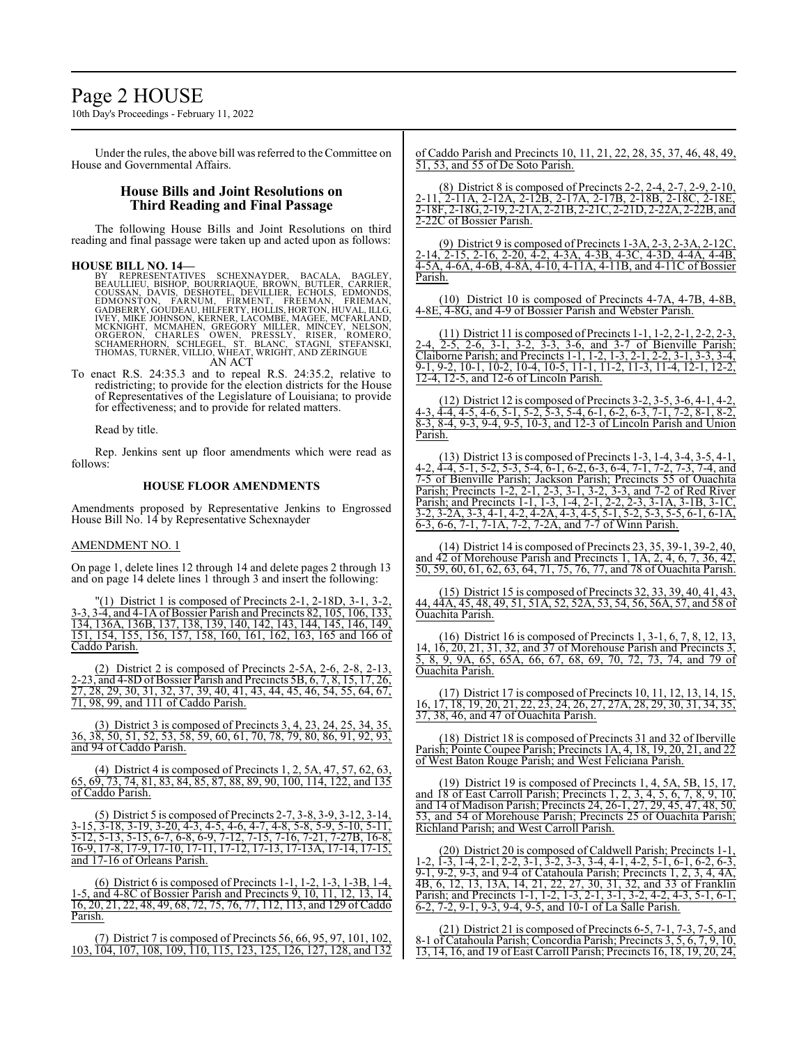# Page 2 HOUSE

10th Day's Proceedings - February 11, 2022

Under the rules, the above bill was referred to the Committee on House and Governmental Affairs.

## **House Bills and Joint Resolutions on Third Reading and Final Passage**

The following House Bills and Joint Resolutions on third reading and final passage were taken up and acted upon as follows:

#### **HOUSE BILL NO. 14—**

BY REPRESENTATIVES SCHEXNAYDER, BACALA, BAGLEY,<br>BEAULLIEU, BISHOP, BOURRIAQUE, BROWN, BUTLER, CARRIER,<br>COUSSAN, DAVIS, DESHOTEL, DEVILLIER, ECHOLS, EDMONDS,<br>EDMONSTON, FARNUM, FİRMENT, FREEMAN, FRIEMAN,<br>GADBERRY, GOUDEAU,H AN ACT

To enact R.S. 24:35.3 and to repeal R.S. 24:35.2, relative to redistricting; to provide for the election districts for the House of Representatives of the Legislature of Louisiana; to provide for effectiveness; and to provide for related matters.

Read by title.

Rep. Jenkins sent up floor amendments which were read as follows:

## **HOUSE FLOOR AMENDMENTS**

Amendments proposed by Representative Jenkins to Engrossed House Bill No. 14 by Representative Schexnayder

#### AMENDMENT NO. 1

On page 1, delete lines 12 through 14 and delete pages 2 through 13 and on page 14 delete lines 1 through 3 and insert the following:

(1) District 1 is composed of Precincts  $2-1$ ,  $2-18D$ ,  $3-1$ ,  $3-2$ , 3-3, 3-4, and 4-1A of Bossier Parish and Precincts 82, 105, 106, 133, 134, 136A, 136B, 137, 138, 139, 140, 142, 143, 144, 145, 146, 149, 151, 154, 155, 156, 157, 158, 160, 161, 162, 163, 165 and 166 of Caddo Parish.

(2) District 2 is composed of Precincts 2-5A, 2-6, 2-8, 2-13, 2-23, and  $\overline{4-8D}$  of Bossier Parish and Precincts 5B,  $6, 7, 8, 15, 17, 26,$ 27, 28, 29, 30, 31, 32, 37, 39, 40, 41, 43, 44, 45, 46, 54, 55, 64, 67, 71, 98, 99, and 111 of Caddo Parish.

(3) District 3 is composed of Precincts 3, 4, 23, 24, 25, 34, 35, 36, 38, 50, 51, 52, 53, 58, 59, 60, 61, 70, 78, 79, 80, 86, 91, 92, 93, and 94 of Caddo Parish.

(4) District 4 is composed of Precincts 1, 2, 5A, 47, 57, 62, 63, 65, 69, 73, 74, 81, 83, 84, 85, 87, 88, 89, 90, 100, 114, 122, and 135 of Caddo Parish.

(5) District 5 is composed of Precincts 2-7, 3-8, 3-9, 3-12, 3-14, 3-15, 3-18, 3-19, 3-20, 4-3, 4-5, 4-6, 4-7, 4-8, 5-8, 5-9, 5-10, 5-11, 5-12, 5-13, 5-15, 6-7, 6-8, 6-9, 7-12, 7-15, 7-16, 7-21, 7-27B, 16-8, 16-9, 17-8, 17-9, 17-10, 17-11, 17-12, 17-13, 17-13A, 17-14, 17-15, and 17-16 of Orleans Parish.

(6) District 6 is composed of Precincts 1-1, 1-2, 1-3, 1-3B, 1-4, 1-5, and 4-8C of Bossier Parish and Precincts 9, 10, 11, 12, 13, 14, 16, 20, 21, 22, 48, 49, 68, 72, 75, 76, 77, 112, 113, and 129 of Caddo Parish.

(7) District 7 is composed of Precincts 56, 66, 95, 97, 101, 102, 103, 104, 107, 108, 109, 110, 115, 123, 125, 126, 127, 128, and 132 of Caddo Parish and Precincts 10, 11, 21, 22, 28, 35, 37, 46, 48, 49, 51, 53, and 55 of De Soto Parish.

(8) District 8 is composed of Precincts 2-2, 2-4, 2-7, 2-9, 2-10, 2-11, 2-11A, 2-12A, 2-12B, 2-17A, 2-17B, 2-18B, 2-18C, 2-18E, 2-18F, 2-18G, 2-19, 2-21A, 2-21B, 2-21C, 2-21D, 2-22A, 2-22B, and 2-22C of Bossier Parish.

(9) District 9 is composed of Precincts 1-3A, 2-3, 2-3A, 2-12C, 2-14, 2-15, 2-16, 2-20, 4-2, 4-3A, 4-3B, 4-3C, 4-3D, 4-4A, 4-4B, 4-5A, 4-6A, 4-6B, 4-8A, 4-10, 4-11A, 4-11B, and 4-11C of Bossier Parish.

(10) District 10 is composed of Precincts 4-7A, 4-7B, 4-8B, 4-8E, 4-8G, and 4-9 of Bossier Parish and Webster Parish.

(11) District 11 is composed of Precincts 1-1, 1-2, 2-1, 2-2, 2-3, 2-4, 2-5, 2-6, 3-1, 3-2, 3-3, 3-6, and 3-7 of Bienville Parish; Claiborne Parish; and Precincts 1-1, 1-2, 1-3, 2-1, 2-2, 3-1, 3-3, 3-4, 9-1, 9-2, 10-1, 10-2, 10-4, 10-5, 11-1, 11-2, 11-3, 11-4, 12-1, 12-2, 12-4, 12-5, and 12-6 of Lincoln Parish.

(12) District 12 is composed of Precincts 3-2, 3-5, 3-6, 4-1, 4-2, 4-3, 4-4, 4-5, 4-6, 5-1, 5-2, 5-3, 5-4, 6-1, 6-2, 6-3, 7-1, 7-2, 8-1, 8-2, 8-3, 8-4, 9-3, 9-4, 9-5, 10-3, and 12-3 of Lincoln Parish and Union Parish.

(13) District 13 is composed of Precincts 1-3, 1-4, 3-4, 3-5, 4-1, 4-2, 4-4, 5-1, 5-2, 5-3, 5-4, 6-1, 6-2, 6-3, 6-4, 7-1, 7-2, 7-3, 7-4, and 7-5 of Bienville Parish; Jackson Parish; Precincts 55 of Ouachita Parish; Precincts 1-2, 2-1, 2-3, 3-1, 3-2, 3-3, and 7-2 of Red River Parish; and Precincts 1-1, 1-3, 1-4, 2-1, 2-2, 2-3, 3-1A, 3-1B, 3-1C, 3-2, 3-2A, 3-3, 4-1, 4-2, 4-2A, 4-3, 4-5, 5-1, 5-2, 5-3, 5-5, 6-1, 6-1A, 6-3, 6-6, 7-1, 7-1A, 7-2, 7-2A, and 7-7 of Winn Parish.

(14) District 14 is composed of Precincts 23, 35, 39-1, 39-2, 40, and 42 of Morehouse Parish and Precincts 1, 1A, 2, 4, 6, 7, 36, 42, 50, 59, 60, 61, 62, 63, 64, 71, 75, 76, 77, and 78 of Ouachita Parish.

(15) District 15 is composed of Precincts 32, 33, 39, 40, 41, 44, 44A, 45, 48, 49, 51, 51A, 52, 52A, 53, 54, 56, 56A, 57, and 58 of Ouachita Parish.

(16) District 16 is composed of Precincts 1, 3-1, 6, 7, 8, 12, 13, 14, 16, 20, 21, 31, 32, and 37 of Morehouse Parish and Precincts 3, 5, 8, 9, 9A, 65, 65A, 66, 67, 68, 69, 70, 72, 73, 74, and 79 of Ouachita Parish.

(17) District 17 is composed of Precincts 10, 11, 12, 13, 14, 15, 16, 17, 18, 19, 20, 21, 22, 23, 24, 26, 27, 27A, 28, 29, 30, 31, 34, 35, 37, 38, 46, and 47 of Ouachita Parish.

(18) District 18 is composed of Precincts 31 and 32 of Iberville Parish; Pointe Coupee Parish; Precincts 1A, 4, 18, 19, 20, 21, and 22 of West Baton Rouge Parish; and West Feliciana Parish.

(19) District 19 is composed of Precincts 1, 4, 5A, 5B, 15, 17, and 18 of East Carroll Parish; Precincts 1, 2, 3, 4, 5, 6, 7, 8, 9, 10, and 14 of Madison Parish; Precincts 24, 26-1, 27, 29, 45, 47, 48, 50, 53, and 54 of Morehouse Parish; Precincts 25 of Ouachita Parish; Richland Parish; and West Carroll Parish.

(20) District 20 is composed of Caldwell Parish; Precincts 1-1, 1-2, 1-3, 1-4, 2-1, 2-2, 3-1, 3-2, 3-3, 3-4, 4-1, 4-2, 5-1, 6-1, 6-2, 6-3, 9-1, 9-2, 9-3, and 9-4 of Catahoula Parish; Precincts 1, 2, 3, 4, 4A, 4B, 6, 12, 13, 13A, 14, 21, 22, 27, 30, 31, 32, and 33 of Franklin Parish; and Precincts 1-1, 1-2, 1-3, 2-1, 3-1, 3-2, 4-2, 4-3, 5-1, 6-1, 6-2, 7-2, 9-1, 9-3, 9-4, 9-5, and 10-1 of La Salle Parish.

(21) District 21 is composed of Precincts 6-5, 7-1, 7-3, 7-5, and 8-1 of Catahoula Parish; Concordia Parish; Precincts 3, 5, 6, 7, 9, 10, 13, 14, 16, and 19 of East Carroll Parish; Precincts 16, 18, 19, 20, 24,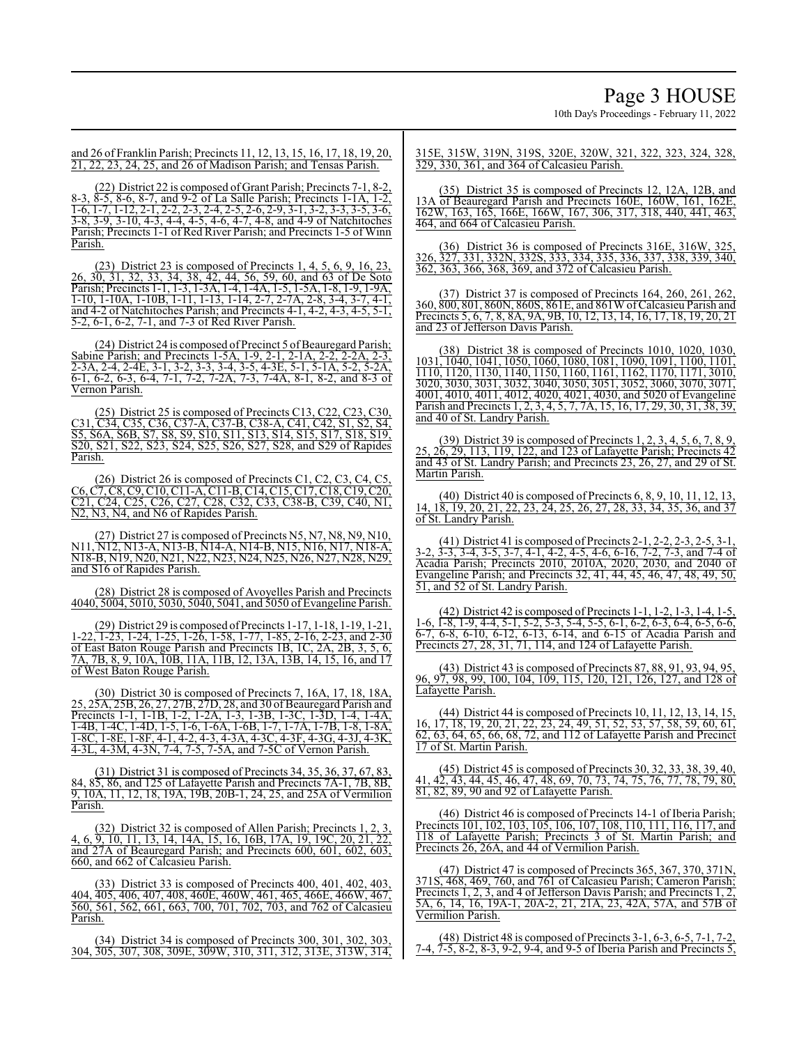10th Day's Proceedings - February 11, 2022

and 26 of Franklin Parish; Precincts 11, 12, 13, 15, 16, 17, 18, 19, 20, 21, 22, 23, 24, 25, and 26 of Madison Parish; and Tensas Parish.

(22) District 22 is composed of Grant Parish; Precincts 7-1, 8-2, 8-3, 8-5, 8-6, 8-7, and 9-2 of La Salle Parish; Precincts 1-1A, 1-2, 1-6, 1-7, 1-12, 2-1, 2-2, 2-3, 2-4, 2-5, 2-6, 2-9, 3-1, 3-2, 3-3, 3-5, 3-6, 3-8, 3-9, 3-10, 4-3, 4-4, 4-5, 4-6, 4-7, 4-8, and 4-9 of Natchitoches Parish; Precincts 1-1 of Red River Parish; and Precincts 1-5 of Winn Parish.

(23) District 23 is composed of Precincts 1, 4, 5, 6, 9, 16, 23, 26, 30, 31, 32, 33, 34, 38, 42, 44, 56, 59, 60, and 63 of De Soto Parish; Precincts 1-1, 1-3, 1-3A, 1-4, 1-4A, 1-5, 1-5A, 1-8, 1-9, 1-9A, 1-10, 1-10A, 1-10B, 1-11, 1-13, 1-14, 2-7, 2-7A, 2-8, 3-4, 3-7, 4-1, and 4-2 of Natchitoches Parish; and Precincts 4-1, 4-2, 4-3, 4-5, 5-1, 5-2, 6-1, 6-2, 7-1, and 7-3 of Red River Parish.

(24) District 24 is composed of Precinct 5 of Beauregard Parish; Sabine Parish; and Precincts 1-5A, 1-9, 2-1, 2-1A, 2-2, 2-2A, 2-3, 2-3A, 2-4, 2-4E, 3-1, 3-2, 3-3, 3-4, 3-5, 4-3E, 5-1, 5-1A, 5-2, 5-2A, 6-1, 6-2, 6-3, 6-4, 7-1, 7-2, 7-2A, 7-3, 7-4A, 8-1, 8-2, and 8-3 of Vernon Parish.

(25) District 25 is composed of Precincts C13, C22, C23, C30, C31, C34, C35, C36, C37-A, C37-B, C38-A, C41, C42, S1, S2, S4, S5, S6A, S6B, S7, S8, S9, S10, S11, S13, S14, S15, S17, S18, S19, S20, S21, S22, S23, S24, S25, S26, S27, S28, and S29 of Rapides Parish.

(26) District 26 is composed of Precincts C1, C2, C3, C4, C5, C6, C7, C8, C9, C10, C11-A, C11-B, C14, C15, C17, C18, C19, C20, C21, C24, C25, C26, C27, C28, C32, C33, C38-B, C39, C40, N1, N2, N3, N4, and N6 of Rapides Parish.

(27) District 27 is composed of Precincts N5, N7, N8, N9, N10, N11, N12, N13-A, N13-B, N14-A, N14-B, N15, N16, N17, N18-A, N18-B, N19, N20, N21, N22, N23, N24, N25, N26, N27, N28, N29, and S16 of Rapides Parish.

(28) District 28 is composed of Avoyelles Parish and Precincts 4040, 5004, 5010, 5030, 5040, 5041, and 5050 of Evangeline Parish.

(29) District 29 is composed ofPrecincts 1-17, 1-18, 1-19, 1-21, 1-22, 1-23, 1-24, 1-25, 1-26, 1-58, 1-77, 1-85, 2-16, 2-23, and 2-30 of East Baton Rouge Parish and Precincts 1B, 1C, 2A, 2B, 3, 5, 6, 7A, 7B, 8, 9, 10A, 10B, 11A, 11B, 12, 13A, 13B, 14, 15, 16, and 17 of West Baton Rouge Parish.

(30) District 30 is composed of Precincts 7, 16A, 17, 18, 18A, 25, 2<del>5A, 25B, 26, 27, 27B, 27D, 28</del>, and 30 of Beauregard Parish and Precincts 1-1, 1-1B, 1-2, 1-2A, 1-3, 1-3B, 1-3C, 1-3D, 1-4, 1-4A, 1-4B, 1-4C, 1-4D, 1-5, 1-6, 1-6A, 1-6B, 1-7, 1-7A, 1-7B, 1-8, 1-8A, 1-8C, 1-8E, 1-8F, 4-1, 4-2, 4-3, 4-3A, 4-3C, 4-3F, 4-3G, 4-3J, 4-3K, 4-3L, 4-3M, 4-3N, 7-4, 7-5, 7-5A, and 7-5C of Vernon Parish.

(31) District 31 is composed of Precincts 34, 35, 36, 37, 67, 83, 84, 85, 86, and 125 of Lafayette Parish and Precincts 7A-1, 7B, 8B, 9, 10A, 11, 12, 18, 19A, 19B, 20B-1, 24, 25, and 25A of Vermilion Parish.

(32) District 32 is composed of Allen Parish; Precincts 1, 2, 4, 6, 9, 10, 11, 13, 14, 14A, 15, 16, 16B, 17A, 19, 19C, 20, 21, 22, and 27A of Beauregard Parish; and Precincts 600, 601, 602, 603, 660, and 662 of Calcasieu Parish.

(33) District 33 is composed of Precincts 400, 401, 402, 403, 404, 405, 406, 407, 408, 460E, 460W, 461, 465, 466E, 466W, 467, 560, 561, 562, 661, 663, 700, 701, 702, 703, and 762 of Calcasieu Parish.

(34) District 34 is composed of Precincts 300, 301, 302, 303, 304, 305, 307, 308, 309E, 309W, 310, 311, 312, 313E, 313W, 314, 315E, 315W, 319N, 319S, 320E, 320W, 321, 322, 323, 324, 328, 329, 330, 361, and 364 of Calcasieu Parish.

(35) District 35 is composed of Precincts 12, 12A, 12B, and 13A of Beauregard Parish and Precincts 160E, 160W, 161, 162E, 162W, 163, 165, 166E, 166W, 167, 306, 317, 318, 440, 441, 463, 464, and 664 of Calcasieu Parish.

(36) District 36 is composed of Precincts 316E, 316W, 325, 326, 327, 331, 332N, 332S, 333, 334, 335, 336, 337, 338, 339, 340, 362, 363, 366, 368, 369, and 372 of Calcasieu Parish.

(37) District 37 is composed of Precincts 164, 260, 261, 262, 360, 800, 801, 860N, 860S, 861E, and 861W ofCalcasieu Parish and Precincts 5, 6, 7, 8, 8A, 9A, 9B, 10, 12, 13, 14, 16, 17, 18, 19, 20, 21 and 23 of Jefferson Davis Parish.

(38) District 38 is composed of Precincts 1010, 1020, 1030, 1031, 1040, 1041, 1050, 1060, 1080, 1081, 1090, 1091, 1100, 1101, 1110, 1120, 1130, 1140, 1150, 1160, 1161, 1162, 1170, 1171, 3010, 3020, 3030, 3031, 3032, 3040, 3050, 3051, 3052, 3060, 3070, 3071, 4001, 4010, 4011, 4012, 4020, 4021, 4030, and 5020 of Evangeline Parish and Precincts 1, 2, 3, 4, 5, 7, 7A, 15, 16, 17, 29, 30, 31, 38, 39, and 40 of St. Landry Parish.

(39) District 39 is composed of Precincts 1, 2, 3, 4, 5, 6, 7, 8, 9, 25, 26, 29, 113, 119, 122, and 123 of Lafayette Parish; Precincts 42 and 43 of St. Landry Parish; and Precincts 23, 26, 27, and 29 of St. Martin Parish.

(40) District 40 is composed of Precincts 6, 8, 9, 10, 11, 12, 13, 14, 18, 19, 20, 21, 22, 23, 24, 25, 26, 27, 28, 33, 34, 35, 36, and 37 of St. Landry Parish.

(41) District 41 is composed of Precincts 2-1, 2-2, 2-3, 2-5, 3-1, 3-2, 3-3, 3-4, 3-5, 3-7, 4-1, 4-2, 4-5, 4-6, 6-16, 7-2, 7-3, and 7-4 of Acadia Parish; Precincts 2010, 2010A, 2020, 2030, and 2040 of Evangeline Parish; and Precincts 32, 41, 44, 45, 46, 47, 48, 49, 50, 51, and 52 of St. Landry Parish.

(42) District 42 is composed of Precincts 1-1, 1-2, 1-3, 1-4, 1-5, 1-6, 1-8, 1-9, 4-4, 5-1, 5-2, 5-3, 5-4, 5-5, 6-1, 6-2, 6-3, 6-4, 6-5, 6-6, 6-7, 6-8, 6-10, 6-12, 6-13, 6-14, and 6-15 of Acadia Parish and Precincts 27, 28, 31, 71, 114, and 124 of Lafayette Parish.

(43) District 43 is composed of Precincts 87, 88, 91, 93, 94, 95, 96, 97, 98, 99, 100, 104, 109, 115, 120, 121, 126, 127, and 128 of Lafayette Parish.

(44) District 44 is composed of Precincts 10, 11, 12, 13, 14, 15, 16, 17, 18, 19, 20, 21, 22, 23, 24, 49, 51, 52, 53, 57, 58, 59, 60, 61, 62, 63, 64, 65, 66, 68, 72, and 112 of Lafayette Parish and Precinct 17 of St. Martin Parish.

(45) District 45 is composed of Precincts 30, 32, 33, 38, 39, 40, 41, 42, 43, 44, 45, 46, 47, 48, 69, 70, 73, 74, 75, 76, 77, 78, 79, 80, 81, 82, 89, 90 and 92 of Lafayette Parish.

(46) District 46 is composed of Precincts 14-1 of Iberia Parish; Precincts 101, 102, 103, 105, 106, 107, 108, 110, 111, 116, 117, and 118 of Lafayette Parish; Precincts 3 of St. Martin Parish; and Precincts 26, 26A, and 44 of Vermilion Parish.

(47) District 47 is composed of Precincts 365, 367, 370, 371N, 371S, 468, 469, 760, and 761 of Calcasieu Parish; Cameron Parish; Precincts 1, 2, 3, and 4 of Jefferson Davis Parish; and Precincts 1, 2, 5A, 6, 14, 16, 19A-1, 20A-2, 21, 21A, 23, 42A, 57A, and 57B of Vermilion Parish.

(48) District 48 is composed of Precincts 3-1, 6-3, 6-5, 7-1, 7-2, 7-4, 7-5, 8-2, 8-3, 9-2, 9-4, and 9-5 of Iberia Parish and Precincts 5,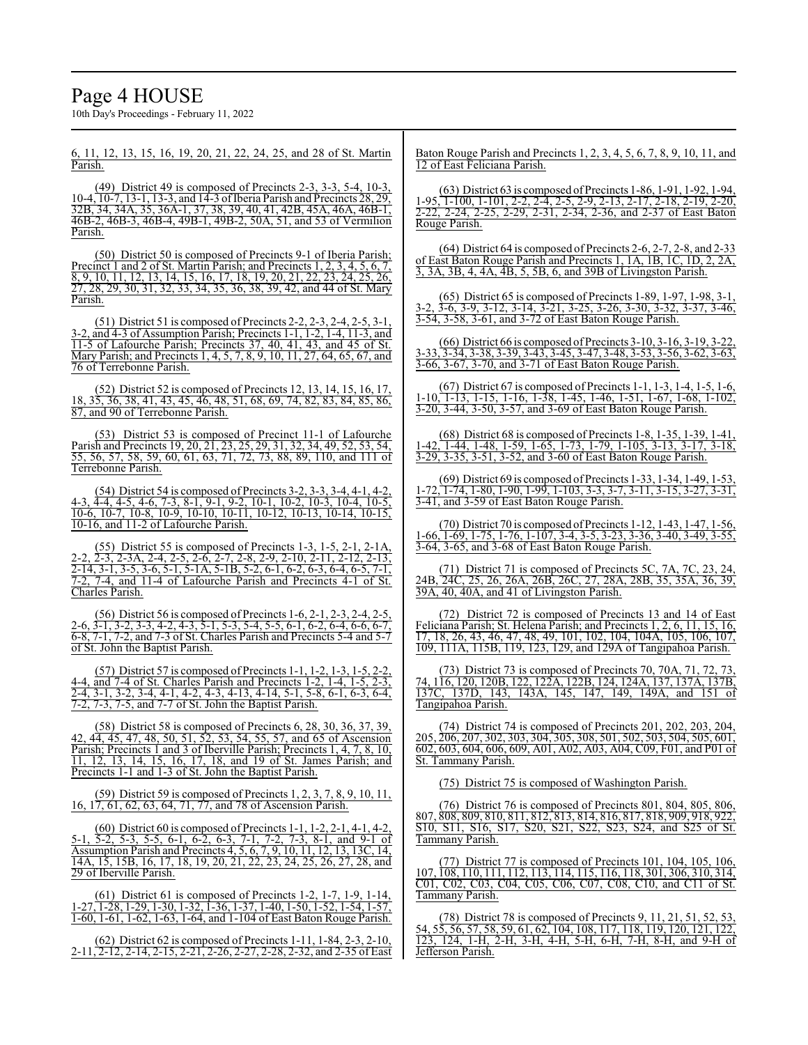# Page 4 HOUSE

10th Day's Proceedings - February 11, 2022

6, 11, 12, 13, 15, 16, 19, 20, 21, 22, 24, 25, and 28 of St. Martin Parish.

(49) District 49 is composed of Precincts 2-3, 3-3, 5-4, 10-3, 10-4, 10-7, 13-1, 13-3, and 14-3 ofIberia Parish and Precincts 28, 29, 32B, 34, 34A, 35, 36A-1, 37, 38, 39, 40, 41, 42B, 45A, 46A, 46B-1, 46B-2, 46B-3, 46B-4, 49B-1, 49B-2, 50A, 51, and 53 of Vermilion Parish.

(50) District 50 is composed of Precincts 9-1 of Iberia Parish; Precinct 1 and 2 of St. Martin Parish; and Precincts 1, 2, 3, 4, 5, 6, 7, 8, 9, 10, 11, 12, 13, 14, 15, 16, 17, 18, 19, 20, 21, 22, 23, 24, 25, 26, 27, 28, 29, 30, 31, 32, 33, 34, 35, 36, 38, 39, 42, and 44 of St. Mary Parish.

(51) District 51 is composed of Precincts 2-2, 2-3, 2-4, 2-5, 3-1, 3-2, and 4-3 of Assumption Parish; Precincts 1-1, 1-2, 1-4, 11-3, and 11-5 of Lafourche Parish; Precincts 37, 40, 41, 43, and 45 of St. Mary Parish; and Precincts 1, 4, 5, 7, 8, 9, 10, 11, 27, 64, 65, 67, and 76 of Terrebonne Parish.

(52) District 52 is composed of Precincts 12, 13, 14, 15, 16, 17, 18, 35, 36, 38, 41, 43, 45, 46, 48, 51, 68, 69, 74, 82, 83, 84, 85, 86, 87, and 90 of Terrebonne Parish.

(53) District 53 is composed of Precinct 11-1 of Lafourche Parish and Precincts 19, 20, 21, 23, 25, 29, 31, 32, 34, 49, 52, 53, 54, 55, 56, 57, 58, 59, 60, 61, 63, 71, 72, 73, 88, 89, 110, and 111 of Terrebonne Parish.

(54) District 54 is composed of Precincts 3-2, 3-3, 3-4, 4-1, 4-2, 4-3, 4-4, 4-5, 4-6, 7-3, 8-1, 9-1, 9-2, 10-1, 10-2, 10-3, 10-4, 10-5, 10-6, 10-7, 10-8, 10-9, 10-10, 10-11, 10-12, 10-13, 10-14, 10-15, 10-16, and 11-2 of Lafourche Parish.

(55) District 55 is composed of Precincts 1-3, 1-5, 2-1, 2-1A, 2-2, 2-3, 2-3A, 2-4, 2-5, 2-6, 2-7, 2-8, 2-9, 2-10, 2-11, 2-12, 2-13, 2-14, 3-1, 3-5, 3-6, 5-1, 5-1A, 5-1B, 5-2, 6-1, 6-2, 6-3, 6-4, 6-5, 7-1, 7-2, 7-4, and 11-4 of Lafourche Parish and Precincts 4-1 of St. Charles Parish.

(56) District 56 is composed of Precincts 1-6, 2-1, 2-3, 2-4, 2-5, 2-6, 3-1, 3-2, 3-3, 4-2, 4-3, 5-1, 5-3, 5-4, 5-5, 6-1, 6-2, 6-4, 6-6, 6-7, 6-8, 7-1, 7-2, and 7-3 of St. Charles Parish and Precincts 5-4 and 5-7 of St. John the Baptist Parish.

(57) District 57 is composed of Precincts 1-1, 1-2, 1-3, 1-5, 2-2, 4-4, and 7-4 of St. Charles Parish and Precincts 1-2, 1-4, 1-5, 2-3, 2-4, 3-1, 3-2, 3-4, 4-1, 4-2, 4-3, 4-13, 4-14, 5-1, 5-8, 6-1, 6-3, 6-4, 7-2, 7-3, 7-5, and 7-7 of St. John the Baptist Parish.

(58) District 58 is composed of Precincts 6, 28, 30, 36, 37, 39, 42, 44, 45, 47, 48, 50, 51, 52, 53, 54, 55, 57, and 65 of Ascension Parish; Precincts 1 and 3 of Iberville Parish; Precincts 1, 4, 7, 8, 10, 11, 12, 13, 14, 15, 16, 17, 18, and 19 of St. James Parish; and Precincts 1-1 and 1-3 of St. John the Baptist Parish.

(59) District 59 is composed of Precincts 1, 2, 3, 7, 8, 9, 10, 11, 16, 17, 61, 62, 63, 64, 71, 77, and 78 of Ascension Parish.

(60) District 60 is composed of Precincts 1-1, 1-2, 2-1, 4-1, 4-2, 5-1, 5-2, 5-3, 5-5, 6-1, 6-2, 6-3, 7-1, 7-2, 7-3, 8-1, and 9-1 of Assumption Parish and Precincts 4, 5, 6, 7, 9, 10, 11, 12, 13, 13C, 14, 14A, 15, 15B, 16, 17, 18, 19, 20, 21, 22, 23, 24, 25, 26, 27, 28, and 29 of Iberville Parish.

(61) District 61 is composed of Precincts 1-2, 1-7, 1-9, 1-14, 1-27, 1-28, 1-29, 1-30, 1-32, 1-36, 1-37, 1-40, 1-50, 1-52, 1-54, 1-57, 1-60, 1-61, 1-62, 1-63, 1-64, and 1-104 of East Baton Rouge Parish.

(62) District 62 is composed of Precincts 1-11, 1-84, 2-3, 2-10, 2-11, 2-12, 2-14, 2-15, 2-21, 2-26, 2-27, 2-28, 2-32, and 2-35 of East

Baton Rouge Parish and Precincts 1, 2, 3, 4, 5, 6, 7, 8, 9, 10, 11, and 12 of East Feliciana Parish.

(63) District 63 is composed ofPrecincts 1-86, 1-91, 1-92, 1-94, 1-95, 1-100, 1-101, 2-2, 2-4, 2-5, 2-9, 2-13, 2-17, 2-18, 2-19, 2-20, 2-22, 2-24, 2-25, 2-29, 2-31, 2-34, 2-36, and 2-37 of East Baton Rouge Parish.

(64) District 64 is composed of Precincts 2-6, 2-7, 2-8, and 2-33 of East Baton Rouge Parish and Precincts 1, 1A, 1B, 1C, 1D, 2, 2A, 3, 3A, 3B, 4, 4A, 4B, 5, 5B, 6, and 39B of Livingston Parish.

(65) District 65 is composed of Precincts 1-89, 1-97, 1-98, 3-1, 3-2, 3-6, 3-9, 3-12, 3-14, 3-21, 3-25, 3-26, 3-30, 3-32, 3-37, 3-46, 3-54, 3-58, 3-61, and 3-72 of East Baton Rouge Parish.

(66) District 66 is composed ofPrecincts 3-10, 3-16, 3-19, 3-22, 3-33, 3-34, 3-38, 3-39, 3-43, 3-45, 3-47, 3-48, 3-53, 3-56, 3-62, 3-63, 3-66, 3-67, 3-70, and 3-71 of East Baton Rouge Parish.

(67) District 67 is composed of Precincts 1-1, 1-3, 1-4, 1-5, 1-6, 1-10, 1-13, 1-15, 1-16, 1-38, 1-45, 1-46, 1-51, 1-67, 1-68, 1-102, 3-20, 3-44, 3-50, 3-57, and 3-69 of East Baton Rouge Parish.

(68) District 68 is composed of Precincts 1-8, 1-35, 1-39, 1-41, 1-42, 1-44, 1-48, 1-59, 1-65, 1-73, 1-79, 1-105, 3-13, 3-17, 3-18, 3-29, 3-35, 3-51, 3-52, and 3-60 of East Baton Rouge Parish.

(69) District 69 is composed ofPrecincts 1-33, 1-34, 1-49, 1-53, 1-72, 1-74, 1-80, 1-90, 1-99, 1-103, 3-3, 3-7, 3-11, 3-15, 3-27, 3-31, 3-41, and 3-59 of East Baton Rouge Parish.

(70) District 70 is composed ofPrecincts 1-12, 1-43, 1-47, 1-56, 1-66, 1-69, 1-75, 1-76, 1-107, 3-4, 3-5, 3-23, 3-36, 3-40, 3-49, 3-55, 3-64, 3-65, and 3-68 of East Baton Rouge Parish.

(71) District 71 is composed of Precincts 5C, 7A, 7C, 24B, 24C, 25, 26, 26A, 26B, 26C, 27, 28A, 28B, 35, 35A, 36, 39, 39A, 40, 40A, and 41 of Livingston Parish.

(72) District 72 is composed of Precincts 13 and 14 of East Feliciana Parish; St. Helena Parish; and Precincts 1, 2, 6, 11, 15, 16, 17, 18, 26, 43, 46, 47, 48, 49, 101, 102, 104, 104A, 105, 106, 107, 109, 111A, 115B, 119, 123, 129, and 129A of Tangipahoa Parish.

(73) District 73 is composed of Precincts 70, 70A, 71, 72, 73, 74, 116, 120, 120B, 122, 122A, 122B, 124, 124A, 137, 137A, 137B, 137C, 137D, 143, 143A, 145, 147, 149, 149A, and 151 of Tangipahoa Parish.

(74) District 74 is composed of Precincts 201, 202, 203, 204, 205, 206, 207, 302, 303, 304, 305, 308, 501, 502, 503, 504, 505, 601, 602, 603, 604, 606, 609, A01, A02, A03, A04, C09, F01, and P01 of St. Tammany Parish.

(75) District 75 is composed of Washington Parish.

(76) District 76 is composed of Precincts 801, 804, 805, 806, 807, 808, 809, 810, 811, 812, 813, 814, 816, 817, 818, 909, 918, 922, S10, S11, S16, S17, S20, S21, S22, S23, S24, and S25 of St. Tammany Parish.

(77) District 77 is composed of Precincts 101, 104, 105, 106, 107, 108, 110, 111, 112, 113, 114, 115, 116, 118, 301, 306, 310, 314, C01, C02, C03, C04, C05, C06, C07, C08, C10, and C11 of St. Tammany Parish.

(78) District 78 is composed of Precincts 9, 11, 21, 51, 52, 53, 54, 55, 56, 57, 58, 59, 61, 62, 104, 108, 117, 118, 119, 120, 121, 122, 123, 124, 1-H, 2-H, 3-H, 4-H, 5-H, 6-H, 7-H, 8-H, and 9-H of Jefferson Parish.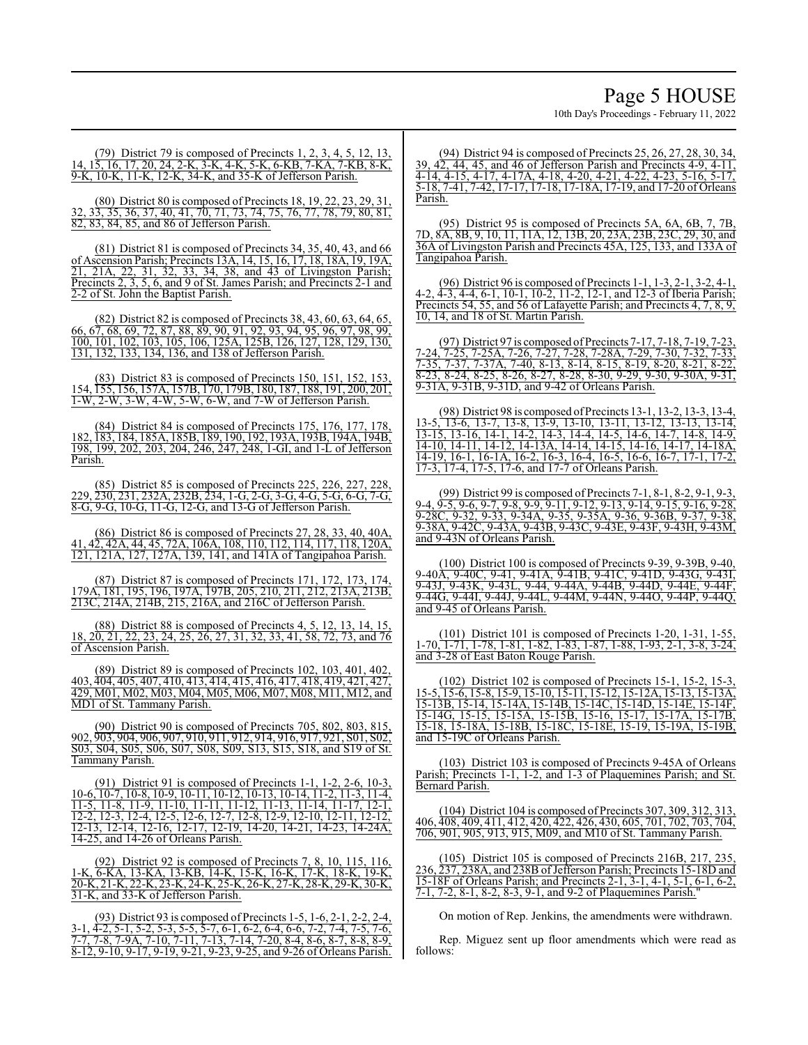## Page 5 HOUSE

10th Day's Proceedings - February 11, 2022

(79) District 79 is composed of Precincts 1, 2, 3, 4, 5, 12, 13, 14, 15, 16, 17, 20, 24, 2-K, 3-K, 4-K, 5-K, 6-KB, 7-KA, 7-KB, 8-K, 9-K, 10-K, 11-K, 12-K, 34-K, and 35-K of Jefferson Parish.

(80) District 80 is composed of Precincts 18, 19, 22, 23, 29, 31, 32, 33, 35, 36, 37, 40, 41, 70, 71, 73, 74, 75, 76, 77, 78, 79, 80, 81, 82, 83, 84, 85, and 86 of Jefferson Parish.

 $(81)$  District 81 is composed of Precincts 34, 35, 40, 43, and 66 of Ascension Parish; Precincts 13A, 14, 15, 16, 17, 18, 18A, 19, 19A, 21, 21A, 22, 31, 32, 33, 34, 38, and 43 of Livingston Parish; Precincts 2, 3, 5, 6, and 9 of St. James Parish; and Precincts 2-1 and 2-2 of St. John the Baptist Parish.

(82) District 82 is composed of Precincts 38, 43, 60, 63, 64, 65, 66, 67, 68, 69, 72, 87, 88, 89, 90, 91, 92, 93, 94, 95, 96, 97, 98, 99, 100, 101, 102, 103, 105, 106, 125A, 125B, 126, 127, 128, 129, 130, 131, 132, 133, 134, 136, and 138 of Jefferson Parish.

(83) District 83 is composed of Precincts 150, 151, 152, 153, 154, 155, 156, 157A, 157B, 170, 179B, 180, 187, 188, 191, 200, 201, 1-W, 2-W, 3-W, 4-W, 5-W, 6-W, and 7-W of Jefferson Parish.

(84) District 84 is composed of Precincts 175, 176, 177, 178, 182, 183, 184, 185A, 185B, 189, 190, 192, 193A, 193B, 194A, 194B, 198, 199, 202, 203, 204, 246, 247, 248, 1-GI, and 1-L of Jefferson Parish.

(85) District 85 is composed of Precincts 225, 226, 227, 228, 229, 230, 231, 232A, 232B, 234, 1-G, 2-G, 3-G, 4-G, 5-G, 6-G, 7-G, 8-G, 9-G, 10-G, 11-G, 12-G, and 13-G of Jefferson Parish.

(86) District 86 is composed of Precincts 27, 28, 33, 40, 40A, 41, 42, 42A, 44, 45, 72A, 106A, 108, 110, 112, 114, 117, 118, 120A, 121, 121A, 127, 127A, 139, 141, and 141A of Tangipahoa Parish.

(87) District 87 is composed of Precincts 171, 172, 173, 174, 179A, 181, 195, 196, 197A, 197B, 205, 210, 211, 212, 213A, 213B, 213C, 214A, 214B, 215, 216A, and 216C of Jefferson Parish.

(88) District 88 is composed of Precincts 4, 5, 12, 13, 14, 15, 18, 20, 21, 22, 23, 24, 25, 26, 27, 31, 32, 33, 41, 58, 72, 73, and 76 of Ascension Parish.

(89) District 89 is composed of Precincts 102, 103, 401, 402, 403, 404, 405, 407, 410, 413, 414, 415, 416, 417, 418, 419, 421, 427, 429, M01, M02, M03, M04, M05, M06, M07, M08, M11, M12, and MD1 of St. Tammany Parish.

(90) District 90 is composed of Precincts 705, 802, 803, 815, 902, 903, 904, 906, 907, 910, 911, 912, 914, 916, 917, 921, S01, S02, S03, S04, S05, S06, S07, S08, S09, S13, S15, S18, and S19 of St. Tammany Parish.

(91) District 91 is composed of Precincts 1-1, 1-2, 2-6, 10-3, 10-6, 10-7, 10-8, 10-9, 10-11, 10-12, 10-13, 10-14, 11-2, 11-3, 11-4, 11-5, 11-8, 11-9, 11-10, 11-11, 11-12, 11-13, 11-14, 11-17, 12-1, 12-2, 12-3, 12-4, 12-5, 12-6, 12-7, 12-8, 12-9, 12-10, 12-11, 12-12, 12-13, 12-14, 12-16, 12-17, 12-19, 14-20, 14-21, 14-23, 14-24A, 14-25, and 14-26 of Orleans Parish.

(92) District 92 is composed of Precincts 7, 8, 10, 115, 116, 1-K, 6-KA, 13-KA, 13-KB, 14-K, 15-K, 16-K, 17-K, 18-K, 19-K, 20-K, 21-K, 22-K, 23-K, 24-K, 25-K, 26-K, 27-K, 28-K, 29-K, 30-K, 31-K, and 33-K of Jefferson Parish.

(93) District 93 is composed of Precincts 1-5, 1-6, 2-1, 2-2, 2-4, 3-1, 4-2, 5-1, 5-2, 5-3, 5-5, 5-7, 6-1, 6-2, 6-4, 6-6, 7-2, 7-4, 7-5, 7-6, 7-7, 7-8, 7-9A, 7-10, 7-11, 7-13, 7-14, 7-20, 8-4, 8-6, 8-7, 8-8, 8-9, 8-12, 9-10, 9-17, 9-19, 9-21, 9-23, 9-25, and 9-26 of Orleans Parish.

(94) District 94 is composed of Precincts 25, 26, 27, 28, 30, 34, 39, 42, 44, 45, and 46 of Jefferson Parish and Precincts 4-9, 4-11, 4-14, 4-15, 4-17, 4-17A, 4-18, 4-20, 4-21, 4-22, 4-23, 5-16, 5-17, 5-18, 7-41, 7-42, 17-17, 17-18, 17-18A, 17-19, and 17-20 of Orleans Parish.

(95) District 95 is composed of Precincts 5A, 6A, 6B, 7, 7B, 7D, 8A, 8B, 9, 10, 11, 11A, 12, 13B, 20, 23A, 23B, 23C, 29, 30, and 36A of Livingston Parish and Precincts 45A, 125, 133, and 133A of Tangipahoa Parish.

(96) District 96 is composed of Precincts 1-1, 1-3, 2-1, 3-2, 4-1, 4-2, 4-3, 4-4, 6-1, 10-1, 10-2, 11-2, 12-1, and 12-3 of Iberia Parish; Precincts 54, 55, and 56 of Lafayette Parish; and Precincts 4, 7, 8, 9, 10, 14, and 18 of St. Martin Parish.

(97) District 97 is composed ofPrecincts 7-17, 7-18, 7-19, 7-23, 7-24, 7-25, 7-25A, 7-26, 7-27, 7-28, 7-28A, 7-29, 7-30, 7-32, 7-33, 7-35, 7-37, 7-37A, 7-40, 8-13, 8-14, 8-15, 8-19, 8-20, 8-21, 8-22, 8-23, 8-24, 8-25, 8-26, 8-27, 8-28, 8-30, 9-29, 9-30, 9-30A, 9-31, 9-31A, 9-31B, 9-31D, and 9-42 of Orleans Parish.

(98) District 98 is composed ofPrecincts 13-1, 13-2, 13-3, 13-4, 13-5, 13-6, 13-7, 13-8, 13-9, 13-10, 13-11, 13-12, 13-13, 13-14, 13-15, 13-16, 14-1, 14-2, 14-3, 14-4, 14-5, 14-6, 14-7, 14-8, 14-9, 14-10, 14-11, 14-12, 14-13A, 14-14, 14-15, 14-16, 14-17, 14-18A, 14-19, 16-1, 16-1A, 16-2, 16-3, 16-4, 16-5, 16-6, 16-7, 17-1, 17-2, 17-3, 17-4, 17-5, 17-6, and 17-7 of Orleans Parish.

(99) District 99 is composed of Precincts 7-1, 8-1, 8-2, 9-1, 9-3, 9-4, 9-5, 9-6, 9-7, 9-8, 9-9, 9-11, 9-12, 9-13, 9-14, 9-15, 9-16, 9-28, 9-28C, 9-32, 9-33, 9-34A, 9-35, 9-35A, 9-36, 9-36B, 9-37, 9-38, 9-38A, 9-42C, 9-43A, 9-43B, 9-43C, 9-43E, 9-43F, 9-43H, 9-43M, and 9-43N of Orleans Parish.

(100) District 100 is composed of Precincts 9-39, 9-39B, 9-40, 9-40A, 9-40C, 9-41, 9-41A, 9-41B, 9-41C, 9-41D, 9-43G, 9-43I, 9-43J, 9-43K, 9-43L, 9-44, 9-44A, 9-44B, 9-44D, 9-44E, 9-44F, 9-44G, 9-44I, 9-44J, 9-44L, 9-44M, 9-44N, 9-44O, 9-44P, 9-44Q, and 9-45 of Orleans Parish.

(101) District 101 is composed of Precincts 1-20, 1-31, 1-55, 1-70, 1-71, 1-78, 1-81, 1-82, 1-83, 1-87, 1-88, 1-93, 2-1, 3-8, 3-24, and 3-28 of East Baton Rouge Parish.

(102) District 102 is composed of Precincts 15-1, 15-2, 15-3, 15-5, 15-6, 15-8, 15-9, 15-10, 15-11, 15-12, 15-12A, 15-13, 15-13A, 15-13B, 15-14, 15-14A, 15-14B, 15-14C, 15-14D, 15-14E, 15-14F, 15-14G, 15-15, 15-15A, 15-15B, 15-16, 15-17, 15-17A, 15-17B, 15-18, 15-18A, 15-18B, 15-18C, 15-18E, 15-19, 15-19A, 15-19B, and 15-19C of Orleans Parish.

(103) District 103 is composed of Precincts 9-45A of Orleans Parish; Precincts 1-1, 1-2, and 1-3 of Plaquemines Parish; and St. Bernard Parish.

(104) District 104 is composed of Precincts 307, 309, 312, 313, 406, 408, 409, 411, 412, 420, 422, 426, 430, 605, 701, 702, 703, 704, 706, 901, 905, 913, 915, M09, and M10 of St. Tammany Parish.

(105) District 105 is composed of Precincts 216B, 217, 235, 236, 237, 238A, and 238B of Jefferson Parish; Precincts 15-18D and 15-18F of Orleans Parish; and Precincts 2-1, 3-1, 4-1, 5-1, 6-1, 6-2, 7-1, 7-2, 8-1, 8-2, 8-3, 9-1, and 9-2 of Plaquemines Parish."

On motion of Rep. Jenkins, the amendments were withdrawn.

Rep. Miguez sent up floor amendments which were read as follows: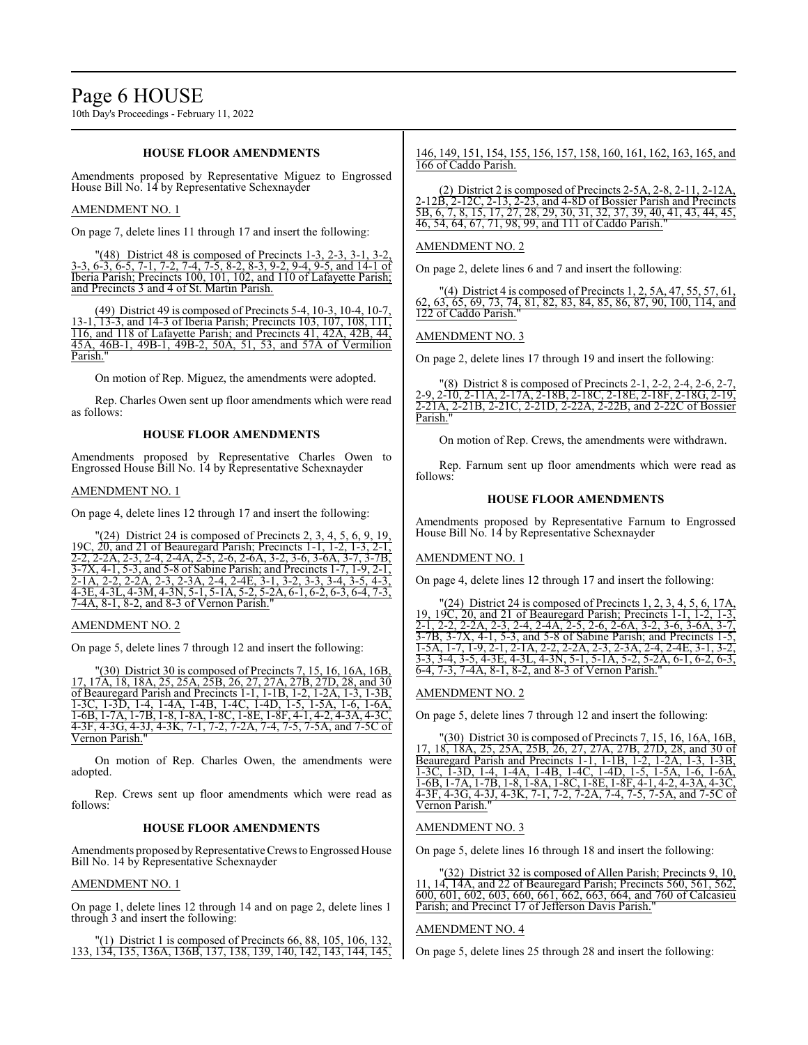10th Day's Proceedings - February 11, 2022

### **HOUSE FLOOR AMENDMENTS**

Amendments proposed by Representative Miguez to Engrossed House Bill No. 14 by Representative Schexnayder

### AMENDMENT NO. 1

On page 7, delete lines 11 through 17 and insert the following:

"(48) District 48 is composed of Precincts 1-3, 2-3, 3-1, 3-2 3-3, 6-3, 6-5, 7-1, 7-2, 7-4, 7-5, 8-2, 8-3, 9-2, 9-4, 9-5, and 14-1 of Iberia Parish; Precincts 100, 101, 102, and 110 of Lafayette Parish; and Precincts 3 and 4 of St. Martin Parish.

(49) District 49 is composed of Precincts 5-4, 10-3, 10-4, 10-7, 13-1, 13-3, and 14-3 of Iberia Parish; Precincts 103, 107, 108, 111, 116, and 118 of Lafayette Parish; and Precincts 41, 42A, 42B, 44, 45A, 46B-1, 49B-1, 49B-2, 50A, 51, 53, and 57A of Vermilion Parish."

On motion of Rep. Miguez, the amendments were adopted.

Rep. Charles Owen sent up floor amendments which were read as follows:

## **HOUSE FLOOR AMENDMENTS**

Amendments proposed by Representative Charles Owen to Engrossed House Bill No. 14 by Representative Schexnayder

## AMENDMENT NO. 1

On page 4, delete lines 12 through 17 and insert the following:

 $(24)$  District 24 is composed of Precincts 2, 3, 4, 5, 6, 9, 19, 19C, 20, and 21 of Beauregard Parish; Precincts 1-1, 1-2, 1-3, 2-1, 2-2, 2-2A, 2-3, 2-4, 2-4A, 2-5, 2-6, 2-6A, 3-2, 3-6, 3-6A, 3-7, 3-7B,  $\overline{3-7x}$ , 4-1, 5-3, and 5-8 of Sabine Parish; and Precincts 1-7, 1-9, 2-1,  $\frac{3}{2}, \frac{3}{2}, \frac{3}{2}, \frac{3}{2}, \frac{3}{2}, \frac{3}{2}, \frac{3}{2}, \frac{3}{2}, \frac{3}{2}, \frac{3}{2}, \frac{3}{2}, \frac{3}{2}, \frac{3}{2}, \frac{3}{2}, \frac{3}{2}, \frac{3}{2}, \frac{3}{2}, \frac{3}{2}, \frac{3}{2}, \frac{3}{2}, \frac{3}{2}, \frac{3}{2}, \frac{3}{2}, \frac{3}{2}, \frac{3}{2}, \frac{3}{2}, \frac{3}{2}, \frac{3}{2}, \frac{3}{2}, \frac{3}{2}, \frac{3}{2}, \frac{$ 2-1A, 2-2, 2-2A, 2-3, 2-3A, 2-4, 2-4E, 3-1, 3-2, 3-3, 3-4, 3-5, 4-3, 4-3E, 4-3L, 4-3M, 4-3N, 5-1, 5-1A, 5-2, 5-2A, 6-1, 6-2, 6-3, 6-4, 7-3, 7-4A, 8-1, 8-2, and 8-3 of Vernon Parish."

#### AMENDMENT NO. 2

On page 5, delete lines 7 through 12 and insert the following:

"(30) District 30 is composed of Precincts 7, 15, 16, 16A, 16B, 17, 17A, 18, 18A, 25, 25A, 25B, 26, 27, 27A, 27B, 27D, 28, and 30 of Beauregard Parish and Precincts 1-1, 1-1B, 1-2, 1-2A, 1-3, 1-3B, 1-3C, 1-3D, 1-4, 1-4A, 1-4B, 1-4C, 1-4D, 1-5, 1-5A, 1-6, 1-6A, 1-6B, 1-7A, 1-7B, 1-8, 1-8A, 1-8C, 1-8E, 1-8F, 4-1, 4-2, 4-3A, 4-3C, 4-3F, 4-3G, 4-3J, 4-3K, 7-1, 7-2, 7-2A, 7-4, 7-5, 7-5A, and 7-5C of Vernon Parish."

On motion of Rep. Charles Owen, the amendments were adopted.

Rep. Crews sent up floor amendments which were read as follows:

#### **HOUSE FLOOR AMENDMENTS**

Amendments proposed by Representative Crews to Engrossed House Bill No. 14 by Representative Schexnayder

#### AMENDMENT NO. 1

On page 1, delete lines 12 through 14 and on page 2, delete lines 1 through 3 and insert the following:

 $(1)$  District 1 is composed of Precincts 66, 88, 105, 106, 132 133, 134, 135, 136A, 136B, 137, 138, 139, 140, 142, 143, 144, 145,

146, 149, 151, 154, 155, 156, 157, 158, 160, 161, 162, 163, 165, and 166 of Caddo Parish.

(2) District 2 is composed of Precincts 2-5A, 2-8, 2-11, 2-12A, 2-12B, 2-12C, 2-13, 2-23, and 4-8D of Bossier Parish and Precincts 5B, 6, 7, 8, 15, 17, 27, 28, 29, 30, 31, 32, 37, 39, 40, 41, 43, 44, 45, 46, 54, 64, 67, 71, 98, 99, and 111 of Caddo Parish."

#### AMENDMENT NO. 2

On page 2, delete lines 6 and 7 and insert the following:

(4) District 4 is composed of Precincts 1, 2, 5A, 47, 55, 57, 61, 62, 63, 65, 69, 73, 74, 81, 82, 83, 84, 85, 86, 87, 90, 100, 114, and 122 of Caddo Parish.

#### AMENDMENT NO. 3

On page 2, delete lines 17 through 19 and insert the following:

|          |  |  | "(8) District 8 is composed of Precincts 2-1, 2-2, 2-4, 2-6, 2-7, |  |
|----------|--|--|-------------------------------------------------------------------|--|
|          |  |  | 2-9, 2-10, 2-11A, 2-17A, 2-18B, 2-18C, 2-18E, 2-18F, 2-18G, 2-19, |  |
|          |  |  | 2-21A, 2-21B, 2-21C, 2-21D, 2-22A, 2-22B, and 2-22C of Bossier    |  |
| Parish." |  |  |                                                                   |  |

On motion of Rep. Crews, the amendments were withdrawn.

Rep. Farnum sent up floor amendments which were read as follows:

## **HOUSE FLOOR AMENDMENTS**

Amendments proposed by Representative Farnum to Engrossed House Bill No. 14 by Representative Schexnayder

#### AMENDMENT NO. 1

On page 4, delete lines 12 through 17 and insert the following:

 $(24)$  District 24 is composed of Precincts 1, 2, 3, 4, 5, 6, 17A 19, 19C, 20, and 21 of Beauregard Parish; Precincts 1-1, 1-2, 1-3, 2-1, 2-2, 2-2A, 2-3, 2-4, 2-4A, 2-5, 2-6, 2-6A, 3-2, 3-6, 3-6A, 3-7, 3-7B, 3-7X, 4-1, 5-3, and 5-8 of Sabine Parish; and Precincts 1-5, 1-5A, 1-7, 1-9, 2-1, 2-1A, 2-2, 2-2A, 2-3, 2-3A, 2-4, 2-4E, 3-1, 3-2, 3-3, 3-4, 3-5, 4-3E, 4-3L, 4-3N, 5-1, 5-1A, 5-2, 5-2A, 6-1, 6-2, 6-3, 6-4, 7-3, 7-4A, 8-1, 8-2, and 8-3 of Vernon Parish."

#### AMENDMENT NO. 2

On page 5, delete lines 7 through 12 and insert the following:

(30) District 30 is composed of Precincts 7, 15, 16, 16A, 16B, 17, 18, 18A, 25, 25A, 25B, 26, 27, 27A, 27B, 27D, 28, and 30 of Beauregard Parish and Precincts 1-1, 1-1B, 1-2, 1-2A, 1-3, 1-3B, 1-3C, 1-3D, 1-4, 1-4A, 1-4B, 1-4C, 1-4D, 1-5, 1-5A, 1-6, 1-6A, 1-6B, 1-7A, 1-7B, 1-8, 1-8A, 1-8C, 1-8E, 1-8F, 4-1, 4-2, 4-3A, 4-3C, 4-3F, 4-3G, 4-3J, 4-3K, 7-1, 7-2, 7-2A, 7-4, 7-5, 7-5A, and 7-5C of Vernon Parish."

#### AMENDMENT NO. 3

On page 5, delete lines 16 through 18 and insert the following:

(32) District 32 is composed of Allen Parish; Precincts 9, 10, 11, 14, 14A, and 22 of Beauregard Parish; Precincts 560, 561, 562, 600, 601, 602, 603, 660, 661, 662, 663, 664, and 760 of Calcasieu Parish; and Precinct 17 of Jefferson Davis Parish.

#### AMENDMENT NO. 4

On page 5, delete lines 25 through 28 and insert the following: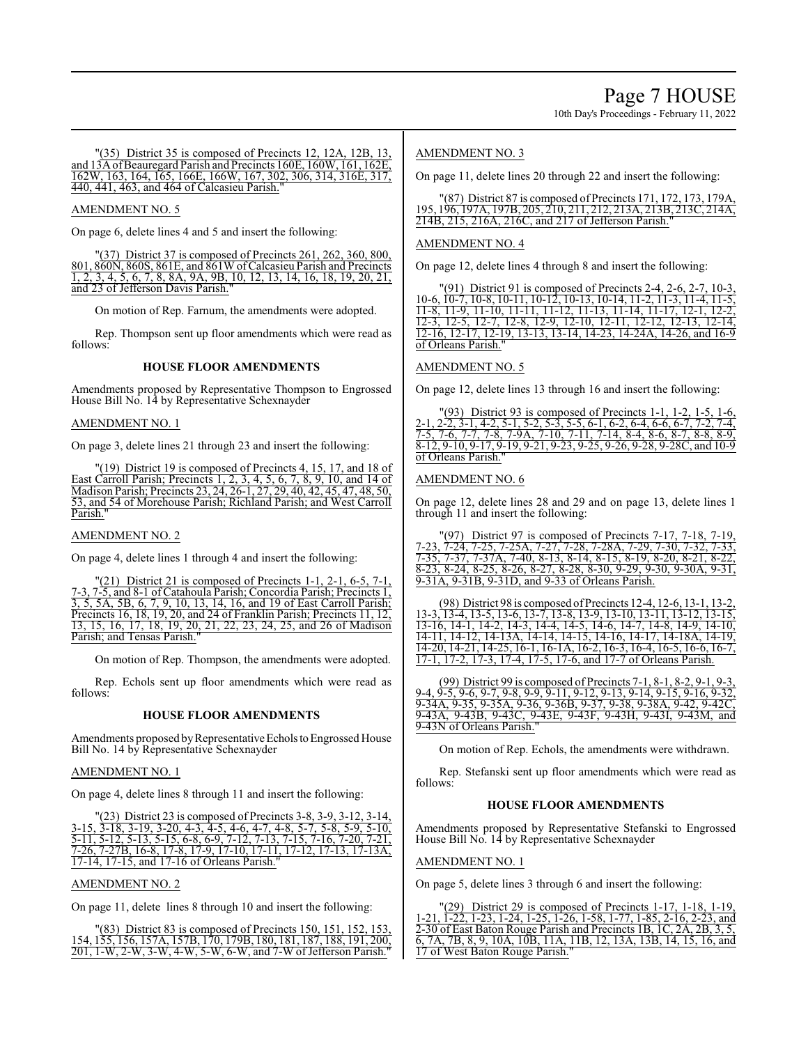10th Day's Proceedings - February 11, 2022

(35) District 35 is composed of Precincts 12, 12A, 12B, 13, and 13AofBeauregard Parish and Precincts 160E, 160W, 161, 162E, 162W, 163, 164, 165, 166E, 166W, 167, 302, 306, 314, 316E, 317, 440, 441, 463, and 464 of Calcasieu Parish."

## AMENDMENT NO. 5

On page 6, delete lines 4 and 5 and insert the following:

"(37) District 37 is composed of Precincts 261, 262, 360, 800, 801, 860N, 860S, 861E, and 861W ofCalcasieu Parish and Precincts 1, 2, 3, 4, 5, 6, 7, 8, 8A, 9A, 9B, 10, 12, 13, 14, 16, 18, 19, 20, 21, and 23 of Jefferson Davis Parish."

On motion of Rep. Farnum, the amendments were adopted.

Rep. Thompson sent up floor amendments which were read as follows:

## **HOUSE FLOOR AMENDMENTS**

Amendments proposed by Representative Thompson to Engrossed House Bill No. 14 by Representative Schexnayder

## AMENDMENT NO. 1

On page 3, delete lines 21 through 23 and insert the following:

"(19) District 19 is composed of Precincts 4, 15, 17, and 18 of East Carroll Parish; Precincts 1, 2, 3, 4, 5, 6, 7, 8, 9, 10, and 14 of Madison Parish; Precincts 23, 24, 26-1, 27, 29, 40, 42, 45, 47, 48, 50, 53, and 54 of Morehouse Parish; Richland Parish; and West Carroll Parish.

## AMENDMENT NO. 2

On page 4, delete lines 1 through 4 and insert the following:

 $\Gamma(21)$  District 21 is composed of Precincts 1-1, 2-1, 6-5, 7-1, 7-3, 7-5, and 8-1 of Catahoula Parish; Concordia Parish; Precincts 1, 3, 5, 5A, 5B, 6, 7, 9, 10, 13, 14, 16, and 19 of East Carroll Parish; Precincts 16, 18, 19, 20, and 24 of Franklin Parish; Precincts 11, 12, 13, 15, 16, 17, 18, 19, 20, 21, 22, 23, 24, 25, and 26 of Madison Parish; and Tensas Parish."

On motion of Rep. Thompson, the amendments were adopted.

Rep. Echols sent up floor amendments which were read as follows:

#### **HOUSE FLOOR AMENDMENTS**

Amendments proposed by Representative Echols to Engrossed House Bill No. 14 by Representative Schexnayder

#### AMENDMENT NO. 1

On page 4, delete lines 8 through 11 and insert the following:

"(23) District 23 is composed of Precincts 3-8, 3-9, 3-12, 3-14, 3-15, 3-18, 3-19, 3-20, 4-3, 4-5, 4-6, 4-7, 4-8, 5-7, 5-8, 5-9, 5-10, 3-15, 3-18, 3-19, 3-20, 4-3, 4-5, 4-6, 4-7, 4-8, 5-7, 5-8, 5-9, 5-10, 5-11, 5-12, 5-13, 5-15, 6-8, 6-9, 7-12, 7-13, 7-15, 7-16, 7-20, 7-21, 7-26, 7-27B, 16-8, 17-8, 17-9, 17-10, 17-11, 17-12, 17-13, 17-13A, 17-14, 17-15, and 17-16 of Orleans Parish."

#### AMENDMENT NO. 2

On page 11, delete lines 8 through 10 and insert the following:

"(83) District 83 is composed of Precincts 150, 151, 152, 153, 154, 155, 156, 157A, 157B, 170, 179B, 180, 181, 187, 188, 191, 200, 201, 1-W, 2-W, 3-W, 4-W, 5-W, 6-W, and 7-W ofJefferson Parish."

## AMENDMENT NO. 3

On page 11, delete lines 20 through 22 and insert the following:

"(87) District 87 is composed of Precincts 171, 172, 173, 179A, 195, 196, 197A, 197B, 205, 210, 211, 212, 213A, 213B, 213C, 214A, 214B, 215, 216A, 216C, and 217 of Jefferson Parish."

## AMENDMENT NO. 4

On page 12, delete lines 4 through 8 and insert the following:

"(91) District 91 is composed of Precincts 2-4, 2-6, 2-7, 10-3, 10-6, 10-7, 10-8, 10-11, 10-12, 10-13, 10-14, 11-2, 11-3, 11-4, 11-5, 11-8, 11-9, 11-10, 11-11, 11-12, 11-13, 11-14, 11-17, 12-1, 12-2, 12-3, 12-5, 12-7, 12-8, 12-9, 12-10, 12-11, 12-12, 12-13, 12-14, 12-16, 12-17, 12-19, 13-13, 13-14, 14-23, 14-24A, 14-26, and 16-9 of Orleans Parish."

#### AMENDMENT NO. 5

On page 12, delete lines 13 through 16 and insert the following:

(93) District 93 is composed of Precincts 1-1, 1-2, 1-5, 1-6, 2-1, 2-2, 3-1, 4-2, 5-1, 5-2, 5-3, 5-5, 6-1, 6-2, 6-4, 6-6, 6-7, 7-2, 7-4, 7-5, 7-6, 7-7, 7-8, 7-9A, 7-10, 7-11, 7-14, 8-4, 8-6, 8-7, 8-8, 8-9, 8-12, 9-10, 9-17, 9-19, 9-21, 9-23, 9-25, 9-26, 9-28, 9-28C, and 10-9 of Orleans Parish."

#### AMENDMENT NO. 6

On page 12, delete lines 28 and 29 and on page 13, delete lines 1 through 11 and insert the following:

 $(97)$  District 97 is composed of Precincts 7-17, 7-18, 7-19, 7-23, 7-24, 7-25, 7-25A, 7-27, 7-28, 7-28A, 7-29, 7-30, 7-32, 7-33, 7-35, 7-37, 7-37A, 7-40, 8-13, 8-14, 8-15, 8-19, 8-20, 8-21, 8-22,  $8-23, 8-24, 8-25, 8-26, 8-27, 8-28, 8-30, 9-29, 9-30, 9-30A, 9-31,$ 9-31A, 9-31B, 9-31D, and 9-33 of Orleans Parish.

(98) District 98 is composed of Precincts 12-4, 12-6, 13-1, 13-13-3, 13-4, 13-5, 13-6, 13-7, 13-8, 13-9, 13-10, 13-11, 13-12, 13-15, 13-16, 14-1, 14-2, 14-3, 14-4, 14-5, 14-6, 14-7, 14-8, 14-9, 14-10, 14-11, 14-12, 14-13A, 14-14, 14-15, 14-16, 14-17, 14-18A, 14-19, 14-20, 14-21, 14-25, 16-1, 16-1A, 16-2, 16-3, 16-4, 16-5, 16-6, 16-7, 17-1, 17-2, 17-3, 17-4, 17-5, 17-6, and 17-7 of Orleans Parish.

(99) District 99 is composed of Precincts 7-1, 8-1, 8-2, 9-1, 9-3, 9-4, 9-5, 9-6, 9-7, 9-8, 9-9, 9-11, 9-12, 9-13, 9-14, 9-15, 9-16, 9-32, 9-34A, 9-35, 9-35A, 9-36, 9-36B, 9-37, 9-38, 9-38A, 9-42, 9-42C, 9-43A, 9-43B, 9-43C, 9-43E, 9-43F, 9-43H, 9-43I, 9-43M, and 9-43N of Orleans Parish."

On motion of Rep. Echols, the amendments were withdrawn.

Rep. Stefanski sent up floor amendments which were read as follows:

## **HOUSE FLOOR AMENDMENTS**

Amendments proposed by Representative Stefanski to Engrossed House Bill No. 14 by Representative Schexnayder

#### AMENDMENT NO. 1

On page 5, delete lines 3 through 6 and insert the following:

"(29) District 29 is composed of Precincts 1-17, 1-18, 1-19, 1-21, 1-22, 1-23, 1-24, 1-25, 1-26, 1-58, 1-77, 1-85, 2-16, 2-23, and 2-30 of East Baton Rouge Parish and Precincts 1B, 1C, 2A, 2B, 3, 5, 6, 7A, 7B, 8, 9, 10A, 10B, 11A, 11B, 12, 13A, 13B, 14, 15, 16, and 17 of West Baton Rouge Parish.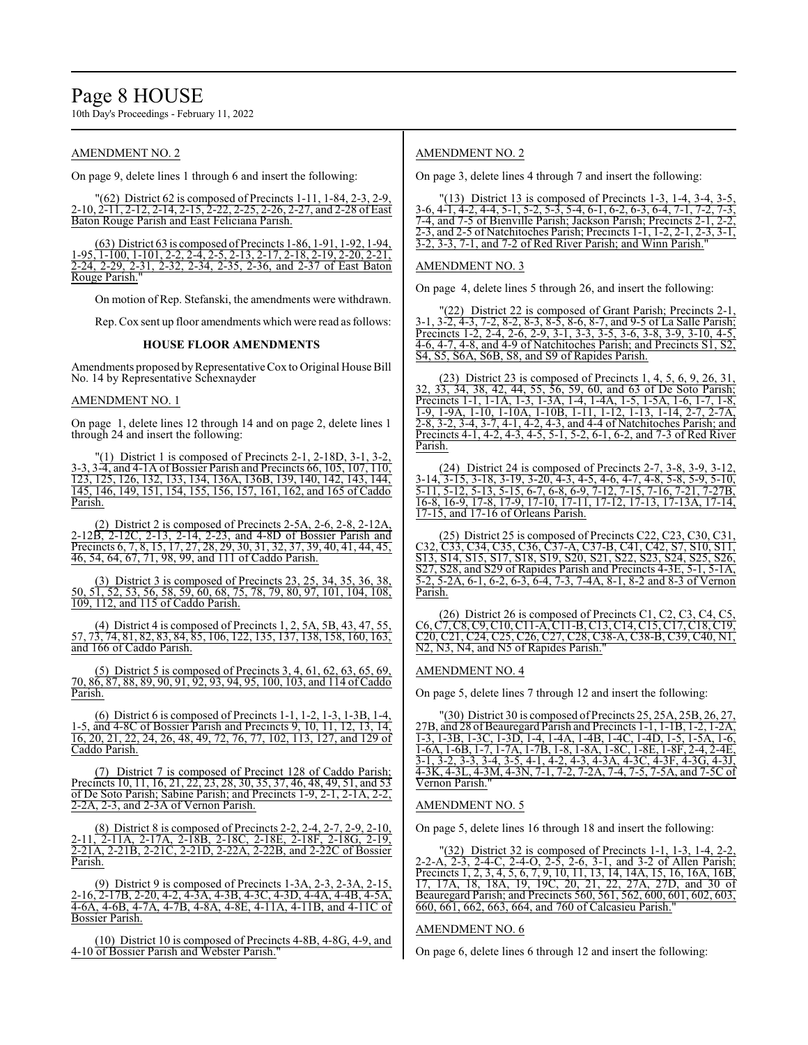# Page 8 HOUSE

10th Day's Proceedings - February 11, 2022

## AMENDMENT NO. 2

On page 9, delete lines 1 through 6 and insert the following:

"(62) District 62 is composed of Precincts 1-11, 1-84, 2-3, 2-9,<br>-10, 2-11, 2-12, 2-14, 2-15, 2-22, 2-25, 2-26, 2-27, and 2-28 of East 2-25, 2-26, 2-27, and 2-28 of East Baton Rouge Parish and East Feliciana Parish.

(63) District 63 is composed ofPrecincts 1-86, 1-91, 1-92, 1-94, 1-95, 1-100, 1-101, 2-2, 2-4, 2-5, 2-13, 2-17, 2-18, 2-19, 2-20, 2-21, 2-24, 2-29, 2-31, 2-32, 2-34, 2-35, 2-36, and 2-37 of East Baton 2-24, 2-29, 2-31, 2-32, 2-34, 2-35, 2-36, and 2-37 of East Baton Rouge Parish."

On motion of Rep. Stefanski, the amendments were withdrawn.

Rep. Cox sent up floor amendments which were read as follows:

#### **HOUSE FLOOR AMENDMENTS**

Amendments proposed by Representative Cox to Original House Bill No. 14 by Representative Schexnayder

### AMENDMENT NO. 1

On page 1, delete lines 12 through 14 and on page 2, delete lines 1 through 24 and insert the following:

(1) District 1 is composed of Precincts 2-1, 2-18D, 3-1, 3-2 3-3, 3-4, and 4-1A of Bossier Parish and Precincts 66, 105, 107, 110, 123, 125, 126, 132, 133, 134, 136A, 136B, 139, 140, 142, 143, 144, 145, 146, 149, 151, 154, 155, 156, 157, 161, 162, and 165 of Caddo Parish.

(2) District 2 is composed of Precincts 2-5A, 2-6, 2-8, 2-12A, 2-12B, 2-12C, 2-13, 2-14, 2-23, and 4-8D of Bossier Parish and Precincts 6, 7, 8, 15, 17, 27, 28, 29, 30, 31, 32, 37, 39, 40, 41, 44, 45, 46, 54, 64, 67, 71, 98, 99, and 111 of Caddo Parish.

(3) District 3 is composed of Precincts 23, 25, 34, 35, 36, 38, 50, 51, 52, 53, 56, 58, 59, 60, 68, 75, 78, 79, 80, 97, 101, 104, 108,  $\frac{109}{109}$ , 112, and 115 of Caddo Parish.

(4) District 4 is composed of Precincts 1, 2, 5A, 5B, 43, 47, 55, 57, 73, 74, 81, 82, 83, 84, 85, 106, 122, 135, 137, 138, 158, 160, 163, and 166 of Caddo Parish.

(5) District 5 is composed of Precincts 3, 4, 61, 62, 63, 65, 69, 70, 86, 87, 88, 89, 90, 91, 92, 93, 94, 95, 100, 103, and 114 of Caddo Parish.

(6) District 6 is composed of Precincts 1-1, 1-2, 1-3, 1-3B, 1-4, 1-5, and 4-8C of Bossier Parish and Precincts 9, 10, 11, 12, 13, 14, 16, 20, 21, 22, 24, 26, 48, 49, 72, 76, 77, 102, 113, 127, and 129 of Caddo Parish.

(7) District 7 is composed of Precinct 128 of Caddo Parish; Precincts 10, 11, 16, 21, 22, 23, 28, 30, 35, 37, 46, 48, 49, 51, and 53 of De Soto Parish; Sabine Parish; and Precincts 1-9, 2-1, 2-1A, 2-2,  $2-2A$ ,  $2-3$ , and  $2-3A$  of Vernon Parish.

(8) District 8 is composed of Precincts 2-2, 2-4, 2-7, 2-9, 2-10, 2-11, 2-11A, 2-17A, 2-18B, 2-18C, 2-18E, 2-18F, 2-18G, 2-19, 2-21A, 2-21B, 2-21C, 2-21D, 2-22A, 2-22B, and 2-22C of Bossier Parish.

(9) District 9 is composed of Precincts 1-3A, 2-3, 2-3A, 2-15, 2-16, 2-17B, 2-20, 4-2, 4-3A, 4-3B, 4-3C, 4-3D, 4-4A, 4-4B, 4-5A, 4-6A, 4-6B, 4-7A, 4-7B, 4-8A, 4-8E, 4-11A, 4-11B, and 4-11C of Bossier Parish.

(10) District 10 is composed of Precincts 4-8B, 4-8G, 4-9, and 4-10 of Bossier Parish and Webster Parish."

## AMENDMENT NO. 2

On page 3, delete lines 4 through 7 and insert the following:

| $(13)$ District 13 is composed of Precincts 1-3, 1-4, 3-4, 3-5,            |
|----------------------------------------------------------------------------|
| 3-6, 4-1, 4-2, 4-4, 5-1, 5-2, 5-3, 5-4, 6-1, 6-2, 6-3, 6-4, 7-1, 7-2, 7-3, |
| 7-4, and 7-5 of Bienville Parish: Jackson Parish: Precincts 2-1, 2-2.      |
| 2-3, and 2-5 of Natchitoches Parish; Precincts 1-1, 1-2, 2-1, 2-3, 3-1,    |
| 3-2, 3-3, 7-1, and 7-2 of Red River Parish; and Winn Parish."              |

#### AMENDMENT NO. 3

On page 4, delete lines 5 through 26, and insert the following:

(22) District 22 is composed of Grant Parish; Precincts 2-1, 3-1, 3-2, 4-3, 7-2, 8-2, 8-3, 8-5, 8-6, 8-7, and 9-5 of La Salle Parish; Precincts 1-2, 2-4, 2-6, 2-9, 3-1, 3-3, 3-5, 3-6, 3-8, 3-9, 3-10, 4-5, 4-6, 4-7, 4-8, and 4-9 of Natchitoches Parish; and Precincts S1, S2, S4, S5, S6A, S6B, S8, and S9 of Rapides Parish.

(23) District 23 is composed of Precincts 1, 4, 5, 6, 9, 26, 31, 32, 33, 34, 38, 42, 44, 55, 56, 59, 60, and 63 of De Soto Parish; Precincts 1-1, 1-1A, 1-3, 1-3A, 1-4, 1-4A, 1-5, 1-5A, 1-6, 1-7, 1-8, 1-9, 1-9A, 1-10, 1-10A, 1-10B, 1-11, 1-12, 1-13, 1-14, 2-7, 2-7A, 2-8, 3-2, 3-4, 3-7, 4-1, 4-2, 4-3, and 4-4 of Natchitoches Parish; and Precincts 4-1, 4-2, 4-3, 4-5, 5-1, 5-2, 6-1, 6-2, and 7-3 of Red River Parish.

 $(24)$  District 24 is composed of Precincts 2-7, 3-8, 3-9, 3-14, 3-15, 3-18, 3-19, 3-20, 4-3, 4-5, 4-6, 4-7, 4-8, 5-8, 5-9, 5-10, 5-11, 5-12, 5-13, 5-15, 6-7, 6-8, 6-9, 7-12, 7-15, 7-16, 7-21, 7-27B, 16-8, 16-9, 17-8, 17-9, 17-10, 17-11, 17-12, 17-13, 17-13A, 17-14, 17-15, and 17-16 of Orleans Parish.

(25) District 25 is composed of Precincts C22, C23, C30, C31, C32, C33, C34, C35, C36, C37-A, C37-B, C41, C42, S7, S10, S11, S13, S14, S15, S17, S18, S19, S20, S21, S22, S23, S24, S25, S26, S27, S28, and S29 of Rapides Parish and Precincts 4-3E, 5-1, 5-1A, 5-2, 5-2A, 6-1, 6-2, 6-3, 6-4, 7-3, 7-4A, 8-1, 8-2 and 8-3 of Vernon Parish.

(26) District 26 is composed of Precincts C1, C2, C3, C4, C5, C6, C7, C8, C9, C10, C11-A, C11-B, C13, C14, C15, C17, C18, C19, C20, C21, C24, C25, C26, C27, C28, C38-A, C38-B, C39, C40, N1, N<sub>2</sub>, N<sub>3</sub>, N<sub>4</sub>, and N<sub>5</sub> of Rapides Parish.

#### AMENDMENT NO. 4

On page 5, delete lines 7 through 12 and insert the following:

"(30) District 30 is composed of Precincts 25, 25A, 25B, 26, 27, 27B, and 28 ofBeauregard Parish and Precincts 1-1, 1-1B, 1-2, 1-2A, 1-3, 1-3B, 1-3C, 1-3D, 1-4, 1-4A, 1-4B, 1-4C, 1-4D, 1-5, 1-5A, 1-6, 1-6A, 1-6B, 1-7, 1-7A, 1-7B, 1-8, 1-8A, 1-8C, 1-8E, 1-8F, 2-4, 2-4E, 3-1, 3-2, 3-3, 3-4, 3-5, 4-1, 4-2, 4-3, 4-3A, 4-3C, 4-3F, 4-3G, 4-3J, 4-3K, 4-3L, 4-3M, 4-3N, 7-1, 7-2, 7-2A, 7-4, 7-5, 7-5A, and 7-5C of Vernon Parish."

#### AMENDMENT NO. 5

On page 5, delete lines 16 through 18 and insert the following:

| $\Gamma(32)$ District 32 is composed of Precincts 1-1, 1-3, 1-4, 2-2,    |
|--------------------------------------------------------------------------|
| 2-2-A, 2-3, 2-4-C, 2-4-O, 2-5, 2-6, 3-1, and 3-2 of Allen Parish;        |
| Precincts 1, 2, 3, 4, 5, 6, 7, 9, 10, 11, 13, 14, 14A, 15, 16, 16A, 16B, |
| 17, 17A, 18, 18A, 19, 19C, 20, 21, 22, 27A, 27D, and 30 of               |
| Beauregard Parish; and Precincts 560, 561, 562, 600, 601, 602, 603,      |
| 660, 661, 662, 663, 664, and 760 of Calcasieu Parish."                   |

### AMENDMENT NO. 6

On page 6, delete lines 6 through 12 and insert the following: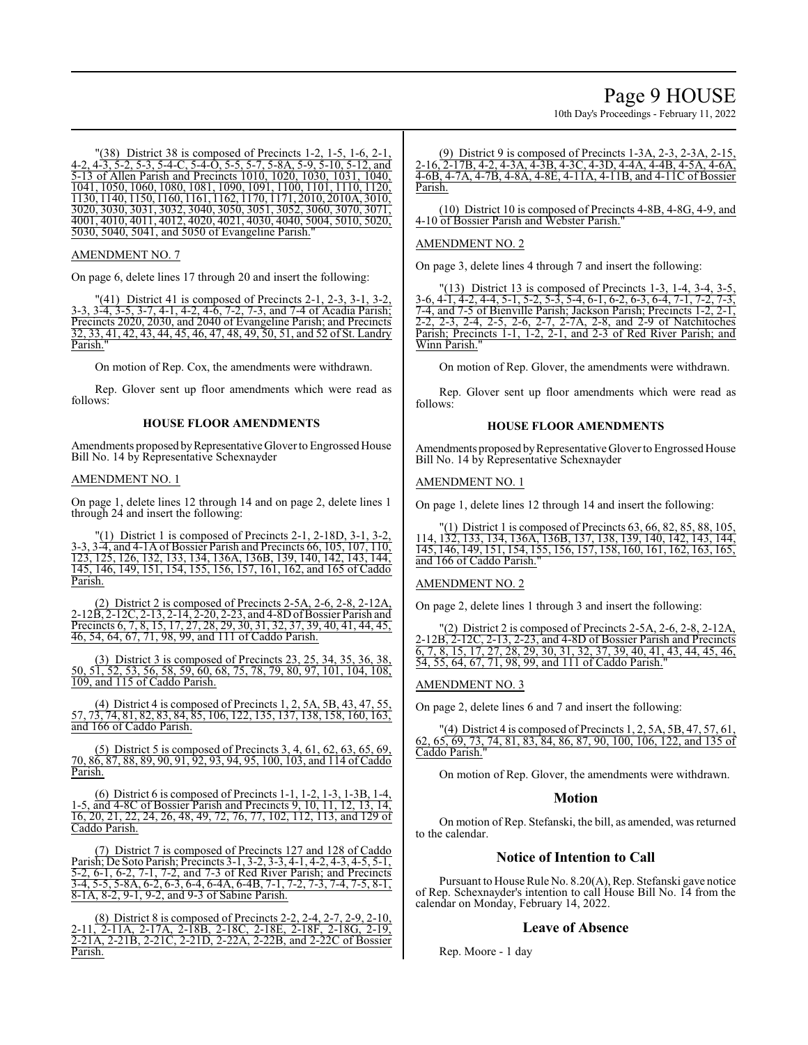# Page 9 HOUSE

10th Day's Proceedings - February 11, 2022

"(38) District 38 is composed of Precincts 1-2, 1-5, 1-6, 2-1, 4-2, 4-3, 5-2, 5-3, 5-4-C, 5-4-O, 5-5, 5-7, 5-8A, 5-9, 5-10, 5-12, and 5-13 of Allen Parish and Precincts 1010, 1020, 1030, 1031, 1040, 1041, 1050, 1060, 1080, 1081, 1090, 1091, 1100, 1101, 1110, 1120, 1130, 1140, 1150, 1160, 1161, 1162, 1170, 1171, 2010, 2010A, 3010, 3020, 3030, 3031, 3032, 3040, 3050, 3051, 3052, 3060, 3070, 3071, 4001, 4010, 4011, 4012, 4020, 4021, 4030, 4040, 5004, 5010, 5020, 5030, 5040, 5041, and 5050 of Evangeline Parish."

## AMENDMENT NO. 7

On page 6, delete lines 17 through 20 and insert the following:

41) District 41 is composed of Precincts 2-1, 2-3, 3-1, 3-2 3-3, 3-4, 3-5, 3-7, 4-1, 4-2, 4-6, 7-2, 7-3, and 7-4 of Acadia Parish; Precincts 2020, 2030, and 2040 of Evangeline Parish; and Precincts 32, 33, 41, 42, 43, 44, 45, 46, 47, 48, 49, 50, 51, and 52 of St. Landry Parish."

On motion of Rep. Cox, the amendments were withdrawn.

Rep. Glover sent up floor amendments which were read as follows:

#### **HOUSE FLOOR AMENDMENTS**

Amendments proposed by Representative Glover to Engrossed House Bill No. 14 by Representative Schexnayder

#### AMENDMENT NO. 1

On page 1, delete lines 12 through 14 and on page 2, delete lines 1 through 24 and insert the following:

 $\Gamma(1)$  District 1 is composed of Precincts 2-1, 2-18D, 3-1, 3-2, 3-3, 3-4, and 4-1A of Bossier Parish and Precincts 66, 105, 107, 110, 123, 125, 126, 132, 133, 134, 136A, 136B, 139, 140, 142, 143, 144, 145, 146, 149, 151, 154, 155, 156, 157, 161, 162, and 165 of Caddo Parish.

(2) District 2 is composed of Precincts 2-5A, 2-6, 2-8, 2-12A, 2-12B, 2-12C, 2-13, 2-14, 2-20, 2-23, and 4-8D ofBossier Parish and Precincts 6, 7, 8, 15, 17, 27, 28, 29, 30, 31, 32, 37, 39, 40, 41, 44, 45, 46, 54, 64, 67, 71, 98, 99, and 111 of Caddo Parish.

(3) District 3 is composed of Precincts 23, 25, 34, 35, 36, 38, 50, 51, 52, 53, 56, 58, 59, 60, 68, 75, 78, 79, 80, 97, 101, 104, 108, 109, and 115 of Caddo Parish.

(4) District 4 is composed of Precincts 1, 2, 5A, 5B, 43, 47, 55, 57, 73, 74, 81, 82, 83, 84, 85, 106, 122, 135, 137, 138, 158, 160, 163, and 166 of Caddo Parish.

(5) District 5 is composed of Precincts 3, 4, 61, 62, 63, 65, 69, 70, 86, 87, 88, 89, 90, 91, 92, 93, 94, 95, 100, 103, and 114 of Caddo Parish.

(6) District 6 is composed of Precincts 1-1, 1-2, 1-3, 1-3B, 1-4, 1-5, and 4-8C of Bossier Parish and Precincts 9, 10, 11, 12, 13, 14, 16, 20, 21, 22, 24, 26, 48, 49, 72, 76, 77, 102, 112, 113, and 129 of Caddo Parish.

(7) District 7 is composed of Precincts 127 and 128 of Caddo Parish; De Soto Parish; Precincts 3-1, 3-2, 3-3, 4-1, 4-2, 4-3, 4-5, 5-1, 5-2, 6-1, 6-2, 7-1, 7-2, and 7-3 of Red River Parish; and Precincts 3-4, 5-5, 5-8A, 6-2, 6-3, 6-4, 6-4A, 6-4B, 7-1, 7-2, 7-3, 7-4, 7-5, 8-1, 8-1A, 8-2, 9-1, 9-2, and 9-3 of Sabine Parish.

(8) District 8 is composed of Precincts 2-2, 2-4, 2-7, 2-9, 2-10, 2-11, 2-11A, 2-17A, 2-18B, 2-18C, 2-18E, 2-18F, 2-18G, 2-19, 2-21A, 2-21B, 2-21C, 2-21D, 2-22A, 2-22B, and 2-22C of Bossier Parish.

(9) District 9 is composed of Precincts 1-3A, 2-3, 2-3A, 2-15, 2-16, 2-17B, 4-2, 4-3A, 4-3B, 4-3C, 4-3D, 4-4A, 4-4B, 4-5A, 4-6A, 4-6B, 4-7A, 4-7B, 4-8A, 4-8E, 4-11A, 4-11B, and 4-11C of Bossier Parish.

(10) District 10 is composed of Precincts 4-8B, 4-8G, 4-9, and 4-10 of Bossier Parish and Webster Parish."

## AMENDMENT NO. 2

On page 3, delete lines 4 through 7 and insert the following:

"(13) District 13 is composed of Precincts 1-3, 1-4, 3-4, 3-5, 3-6, 4-1, 4-2, 4-4, 5-1, 5-2, 5-3, 5-4, 6-1, 6-2, 6-3, 6-4, 7-1, 7-2, 7-3, 7-4, and 7-5 of Bienville Parish; Jackson Parish; Precincts 1-2, 2-1, 2-2, 2-3, 2-4, 2-5, 2-6, 2-7, 2-7A, 2-8, and 2-9 of Natchitoches Parish; Precincts 1-1, 1-2, 2-1, and 2-3 of Red River Parish; and Winn Parish."

On motion of Rep. Glover, the amendments were withdrawn.

Rep. Glover sent up floor amendments which were read as follows:

## **HOUSE FLOOR AMENDMENTS**

Amendments proposed by Representative Glover to Engrossed House Bill No. 14 by Representative Schexnayder

#### AMENDMENT NO. 1

On page 1, delete lines 12 through 14 and insert the following:

(1) District 1 is composed of Precincts 63, 66, 82, 85, 88, 105 114, 132, 133, 134, 136A, 136B, 137, 138, 139, 140, 142, 143, 144, 145, 146, 149, 151, 154, 155, 156, 157, 158, 160, 161, 162, 163, 165, and 166 of Caddo Parish."

#### AMENDMENT NO. 2

On page 2, delete lines 1 through 3 and insert the following:

 $\text{``(2)}$  District 2 is composed of Precincts 2-5A, 2-6, 2-8, 2-12A, 2-12B, 2-12C, 2-13, 2-23, and 4-8D of Bossier Parish and Precincts 6, 7, 8, 15, 17, 27, 28, 29, 30, 31, 32, 37, 39, 40, 41, 43, 44, 45, 46, 54, 55, 64, 67, 71, 98, 99, and 111 of Caddo Parish."

#### AMENDMENT NO. 3

On page 2, delete lines 6 and 7 and insert the following:

 $'(4)$  District 4 is composed of Precincts 1, 2, 5A, 5B, 47, 57, 61 62, 65, 69, 73, 74, 81, 83, 84, 86, 87, 90, 100, 106, 122, and 135 of Caddo Parish."

On motion of Rep. Glover, the amendments were withdrawn.

## **Motion**

On motion of Rep. Stefanski, the bill, as amended, was returned to the calendar.

## **Notice of Intention to Call**

Pursuant to House Rule No. 8.20(A), Rep. Stefanski gave notice of Rep. Schexnayder's intention to call House Bill No. 14 from the calendar on Monday, February 14, 2022.

## **Leave of Absence**

Rep. Moore - 1 day